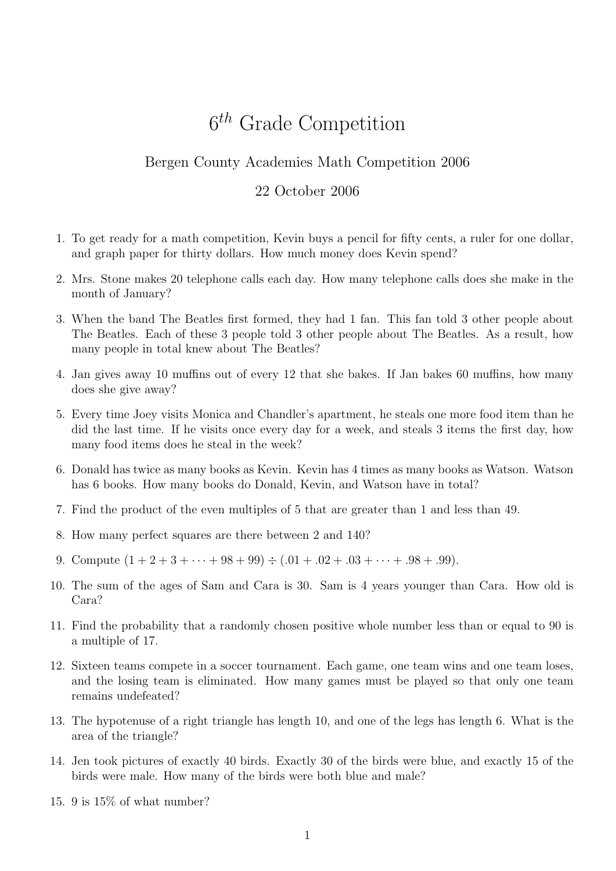## 6 th Grade Competition

## Bergen County Academies Math Competition 2006

## 22 October 2006

- 1. To get ready for a math competition, Kevin buys a pencil for fifty cents, a ruler for one dollar, and graph paper for thirty dollars. How much money does Kevin spend?
- 2. Mrs. Stone makes 20 telephone calls each day. How many telephone calls does she make in the month of January?
- 3. When the band The Beatles first formed, they had 1 fan. This fan told 3 other people about The Beatles. Each of these 3 people told 3 other people about The Beatles. As a result, how many people in total knew about The Beatles?
- 4. Jan gives away 10 muffins out of every 12 that she bakes. If Jan bakes 60 muffins, how many does she give away?
- 5. Every time Joey visits Monica and Chandler's apartment, he steals one more food item than he did the last time. If he visits once every day for a week, and steals 3 items the first day, how many food items does he steal in the week?
- 6. Donald has twice as many books as Kevin. Kevin has 4 times as many books as Watson. Watson has 6 books. How many books do Donald, Kevin, and Watson have in total?
- 7. Find the product of the even multiples of 5 that are greater than 1 and less than 49.
- 8. How many perfect squares are there between 2 and 140?
- 9. Compute  $(1+2+3+\cdots+98+99) \div (.01+.02+.03+\cdots+ .98+.99)$ .
- 10. The sum of the ages of Sam and Cara is 30. Sam is 4 years younger than Cara. How old is Cara?
- 11. Find the probability that a randomly chosen positive whole number less than or equal to 90 is a multiple of 17.
- 12. Sixteen teams compete in a soccer tournament. Each game, one team wins and one team loses, and the losing team is eliminated. How many games must be played so that only one team remains undefeated?
- 13. The hypotenuse of a right triangle has length 10, and one of the legs has length 6. What is the area of the triangle?
- 14. Jen took pictures of exactly 40 birds. Exactly 30 of the birds were blue, and exactly 15 of the birds were male. How many of the birds were both blue and male?
- 15. 9 is 15% of what number?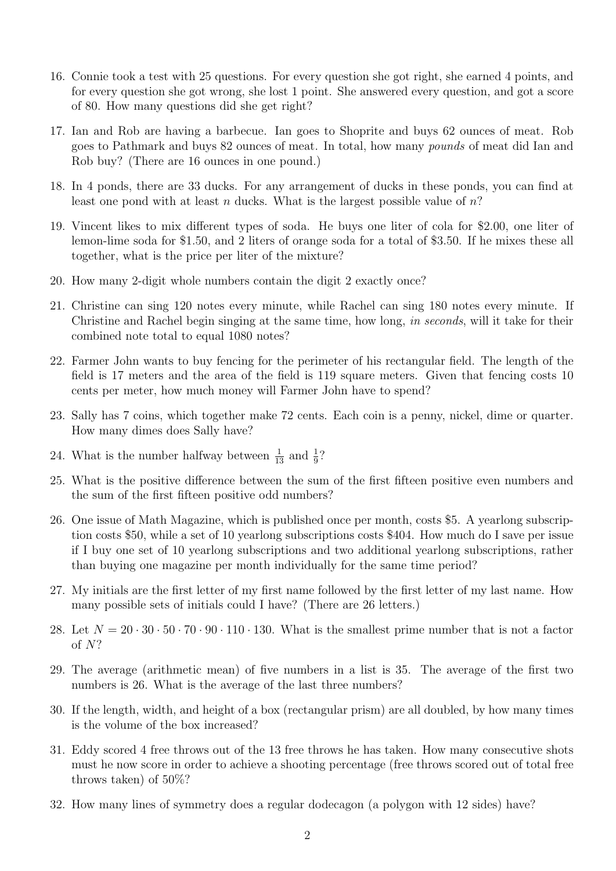- 16. Connie took a test with 25 questions. For every question she got right, she earned 4 points, and for every question she got wrong, she lost 1 point. She answered every question, and got a score of 80. How many questions did she get right?
- 17. Ian and Rob are having a barbecue. Ian goes to Shoprite and buys 62 ounces of meat. Rob goes to Pathmark and buys 82 ounces of meat. In total, how many pounds of meat did Ian and Rob buy? (There are 16 ounces in one pound.)
- 18. In 4 ponds, there are 33 ducks. For any arrangement of ducks in these ponds, you can find at least one pond with at least n ducks. What is the largest possible value of  $n$ ?
- 19. Vincent likes to mix different types of soda. He buys one liter of cola for \$2.00, one liter of lemon-lime soda for \$1.50, and 2 liters of orange soda for a total of \$3.50. If he mixes these all together, what is the price per liter of the mixture?
- 20. How many 2-digit whole numbers contain the digit 2 exactly once?
- 21. Christine can sing 120 notes every minute, while Rachel can sing 180 notes every minute. If Christine and Rachel begin singing at the same time, how long, in seconds, will it take for their combined note total to equal 1080 notes?
- 22. Farmer John wants to buy fencing for the perimeter of his rectangular field. The length of the field is 17 meters and the area of the field is 119 square meters. Given that fencing costs 10 cents per meter, how much money will Farmer John have to spend?
- 23. Sally has 7 coins, which together make 72 cents. Each coin is a penny, nickel, dime or quarter. How many dimes does Sally have?
- 24. What is the number halfway between  $\frac{1}{13}$  and  $\frac{1}{9}$ ?
- 25. What is the positive difference between the sum of the first fifteen positive even numbers and the sum of the first fifteen positive odd numbers?
- 26. One issue of Math Magazine, which is published once per month, costs \$5. A yearlong subscription costs \$50, while a set of 10 yearlong subscriptions costs \$404. How much do I save per issue if I buy one set of 10 yearlong subscriptions and two additional yearlong subscriptions, rather than buying one magazine per month individually for the same time period?
- 27. My initials are the first letter of my first name followed by the first letter of my last name. How many possible sets of initials could I have? (There are 26 letters.)
- 28. Let  $N = 20 \cdot 30 \cdot 50 \cdot 70 \cdot 90 \cdot 110 \cdot 130$ . What is the smallest prime number that is not a factor of N?
- 29. The average (arithmetic mean) of five numbers in a list is 35. The average of the first two numbers is 26. What is the average of the last three numbers?
- 30. If the length, width, and height of a box (rectangular prism) are all doubled, by how many times is the volume of the box increased?
- 31. Eddy scored 4 free throws out of the 13 free throws he has taken. How many consecutive shots must he now score in order to achieve a shooting percentage (free throws scored out of total free throws taken) of 50%?
- 32. How many lines of symmetry does a regular dodecagon (a polygon with 12 sides) have?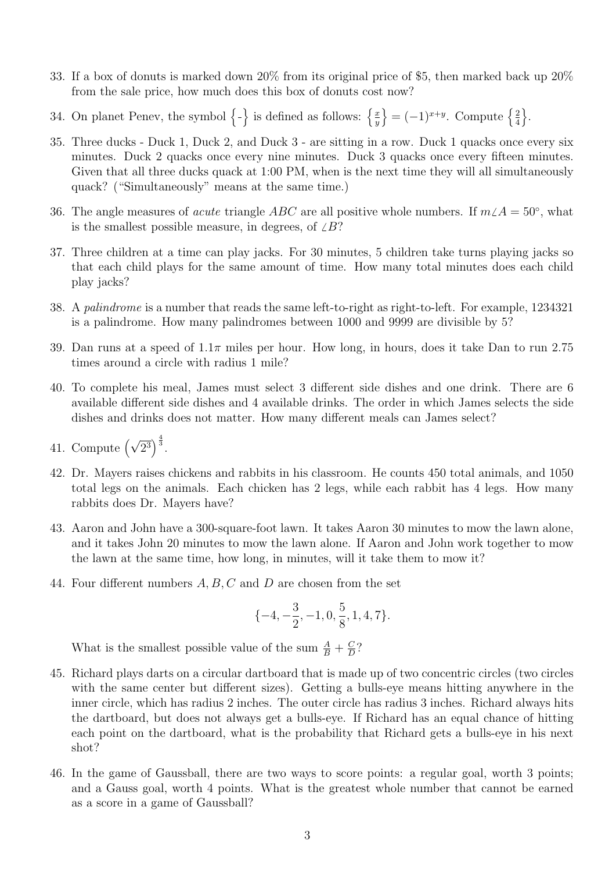- 33. If a box of donuts is marked down 20% from its original price of \$5, then marked back up 20% from the sale price, how much does this box of donuts cost now?
- 34. On planet Penev, the symbol  $\{-\}$  is defined as follows:  $\{\frac{x}{y}\}$  $\overline{y}$  $\left\} = (-1)^{x+y}$ . Compute  $\left\{ \frac{2}{4} \right\}$ 4  $\big\}$ .
- 35. Three ducks Duck 1, Duck 2, and Duck 3 are sitting in a row. Duck 1 quacks once every six minutes. Duck 2 quacks once every nine minutes. Duck 3 quacks once every fifteen minutes. Given that all three ducks quack at 1:00 PM, when is the next time they will all simultaneously quack? ("Simultaneously" means at the same time.)
- 36. The angle measures of *acute* triangle ABC are all positive whole numbers. If  $m\angle A = 50°$ , what is the smallest possible measure, in degrees, of  $\angle B$ ?
- 37. Three children at a time can play jacks. For 30 minutes, 5 children take turns playing jacks so that each child plays for the same amount of time. How many total minutes does each child play jacks?
- 38. A palindrome is a number that reads the same left-to-right as right-to-left. For example, 1234321 is a palindrome. How many palindromes between 1000 and 9999 are divisible by 5?
- 39. Dan runs at a speed of  $1.1\pi$  miles per hour. How long, in hours, does it take Dan to run 2.75 times around a circle with radius 1 mile?
- 40. To complete his meal, James must select 3 different side dishes and one drink. There are 6 available different side dishes and 4 available drinks. The order in which James selects the side dishes and drinks does not matter. How many different meals can James select?
- 41. Compute  $(\sqrt{2^3})^{\frac{4}{3}}$ .
- 42. Dr. Mayers raises chickens and rabbits in his classroom. He counts 450 total animals, and 1050 total legs on the animals. Each chicken has 2 legs, while each rabbit has 4 legs. How many rabbits does Dr. Mayers have?
- 43. Aaron and John have a 300-square-foot lawn. It takes Aaron 30 minutes to mow the lawn alone, and it takes John 20 minutes to mow the lawn alone. If Aaron and John work together to mow the lawn at the same time, how long, in minutes, will it take them to mow it?
- 44. Four different numbers A, B, C and D are chosen from the set

$$
\{-4, -\frac{3}{2}, -1, 0, \frac{5}{8}, 1, 4, 7\}.
$$

What is the smallest possible value of the sum  $\frac{A}{B} + \frac{C}{D}$  $\frac{C}{D}$ ?

- 45. Richard plays darts on a circular dartboard that is made up of two concentric circles (two circles with the same center but different sizes). Getting a bulls-eye means hitting anywhere in the inner circle, which has radius 2 inches. The outer circle has radius 3 inches. Richard always hits the dartboard, but does not always get a bulls-eye. If Richard has an equal chance of hitting each point on the dartboard, what is the probability that Richard gets a bulls-eye in his next shot?
- 46. In the game of Gaussball, there are two ways to score points: a regular goal, worth 3 points; and a Gauss goal, worth 4 points. What is the greatest whole number that cannot be earned as a score in a game of Gaussball?